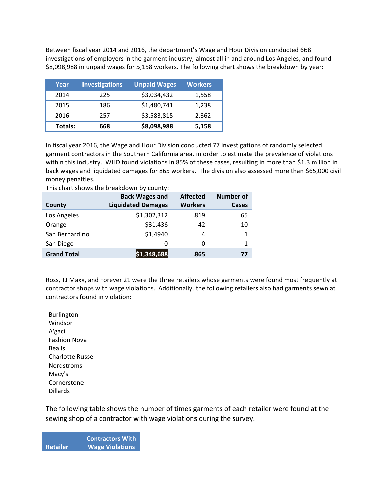Between fiscal year 2014 and 2016, the department's Wage and Hour Division conducted 668 investigations of employers in the garment industry, almost all in and around Los Angeles, and found \$8,098,988 in unpaid wages for 5,158 workers. The following chart shows the breakdown by year:

| Year    | <b>Investigations</b> | <b>Unpaid Wages</b> | <b>Workers</b> |
|---------|-----------------------|---------------------|----------------|
| 2014    | 225                   | \$3,034,432         | 1,558          |
| 2015    | 186                   | \$1,480,741         | 1,238          |
| 2016    | 257                   | \$3,583,815         | 2,362          |
| Totals: | 668                   | \$8,098,988         | 5,158          |

In fiscal year 2016, the Wage and Hour Division conducted 77 investigations of randomly selected garment contractors in the Southern California area, in order to estimate the prevalence of violations within this industry. WHD found violations in 85% of these cases, resulting in more than \$1.3 million in back wages and liquidated damages for 865 workers. The division also assessed more than \$65,000 civil money penalties.

| This chart shows the breakdown by county: |                           |                 |                  |  |  |
|-------------------------------------------|---------------------------|-----------------|------------------|--|--|
|                                           | <b>Back Wages and</b>     | <b>Affected</b> | <b>Number of</b> |  |  |
| County                                    | <b>Liquidated Damages</b> | <b>Workers</b>  | Cases            |  |  |
| Los Angeles                               | \$1,302,312               | 819             | 65               |  |  |
| Orange                                    | \$31,436                  | 42              | 10               |  |  |
| San Bernardino                            | \$1,4940                  | 4               | 1                |  |  |
| San Diego                                 |                           | 0               | 1                |  |  |
| <b>Grand Total</b>                        | \$1,348,688               | 865             | 77               |  |  |

This chart shows the breakdown by county:

Ross, TJ Maxx, and Forever 21 were the three retailers whose garments were found most frequently at contractor shops with wage violations. Additionally, the following retailers also had garments sewn at contractors found in violation:

Burlington Windsor A'gaci Fashion Nova Bealls Charlotte Russe Nordstroms Macy's Cornerstone Dillards

The following table shows the number of times garments of each retailer were found at the sewing shop of a contractor with wage violations during the survey.

**Retailer Contractors With Wage Violations**